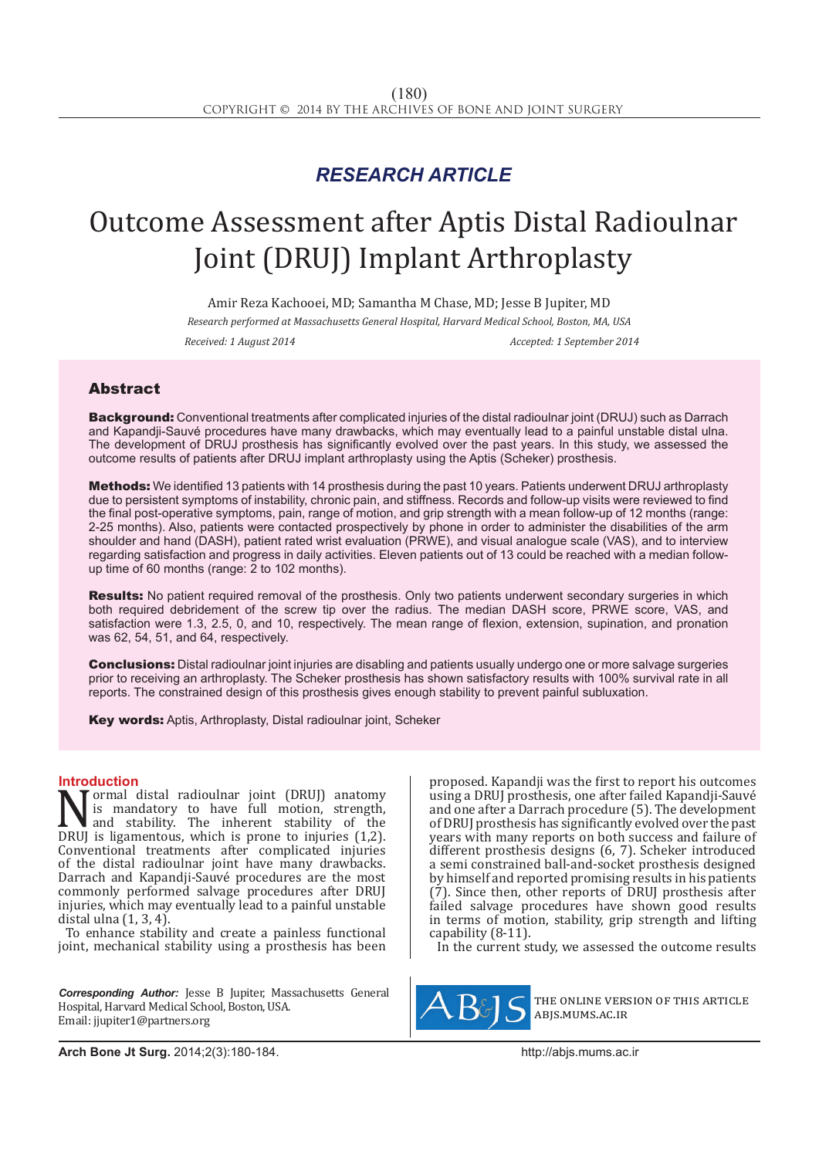# *RESEARCH ARTICLE*

# Outcome Assessment after Aptis Distal Radioulnar Joint (DRUJ) Implant Arthroplasty

Amir Reza Kachooei, MD; Samantha M Chase, MD; Jesse B Jupiter, MD *Research performed at Massachusetts General Hospital, Harvard Medical School, Boston, MA, USA Received: 1 August 2014 Accepted: 1 September 2014*

## Abstract

Background: Conventional treatments after complicated injuries of the distal radioulnar joint (DRUJ) such as Darrach and Kapandji-Sauvé procedures have many drawbacks, which may eventually lead to a painful unstable distal ulna. The development of DRUJ prosthesis has significantly evolved over the past years. In this study, we assessed the outcome results of patients after DRUJ implant arthroplasty using the Aptis (Scheker) prosthesis.

**Methods:** We identified 13 patients with 14 prosthesis during the past 10 years. Patients underwent DRUJ arthroplasty due to persistent symptoms of instability, chronic pain, and stiffness. Records and follow-up visits were reviewed to find the final post-operative symptoms, pain, range of motion, and grip strength with a mean follow-up of 12 months (range: 2-25 months). Also, patients were contacted prospectively by phone in order to administer the disabilities of the arm shoulder and hand (DASH), patient rated wrist evaluation (PRWE), and visual analogue scale (VAS), and to interview regarding satisfaction and progress in daily activities. Eleven patients out of 13 could be reached with a median followup time of 60 months (range: 2 to 102 months).

Results: No patient required removal of the prosthesis. Only two patients underwent secondary surgeries in which both required debridement of the screw tip over the radius. The median DASH score, PRWE score, VAS, and satisfaction were 1.3, 2.5, 0, and 10, respectively. The mean range of flexion, extension, supination, and pronation was 62, 54, 51, and 64, respectively.

Conclusions: Distal radioulnar joint injuries are disabling and patients usually undergo one or more salvage surgeries prior to receiving an arthroplasty. The Scheker prosthesis has shown satisfactory results with 100% survival rate in all reports. The constrained design of this prosthesis gives enough stability to prevent painful subluxation.

Key words: Aptis, Arthroplasty, Distal radioulnar joint, Scheker

### **Introduction**

Normal distal radioulnar joint (DRUJ) anatomy<br>is mandatory to have full motion, strength,<br>and stability. The inherent stability of the<br>DRUJ is ligamentous, which is prone to injuries (1,2). is mandatory to have full motion, strength, and stability. The inherent stability of the DRUJ is ligamentous, which is prone to injuries  $(1,2)$ . Conventional treatments after complicated injuries of the distal radioulnar joint have many drawbacks. Darrach and Kapandji-Sauvé procedures are the most commonly performed salvage procedures after DRUJ injuries, which may eventually lead to a painful unstable distal ulna (1, 3, 4).

To enhance stability and create a painless functional joint, mechanical stability using a prosthesis has been

*Corresponding Author:* Jesse B Jupiter, Massachusetts General Hospital, Harvard Medical School, Boston, USA. Email: jjupiter1@partners.org

proposed. Kapandji was the first to report his outcomes using a DRUJ prosthesis, one after failed Kapandji-Sauvé and one after a Darrach procedure (5). The development of DRUJ prosthesis has significantly evolved over the past years with many reports on both success and failure of different prosthesis designs (6, 7). Scheker introduced a semi constrained ball-and-socket prosthesis designed by himself and reported promising results in his patients (7). Since then, other reports of DRUJ prosthesis after failed salvage procedures have shown good results in terms of motion, stability, grip strength and lifting capability (8-11).

In the current study, we assessed the outcome results



the online version of this article abjs.mums.ac.ir

**Arch Bone Jt Surg.** 2014;2(3):180-184.http://abjs.mums.ac.ir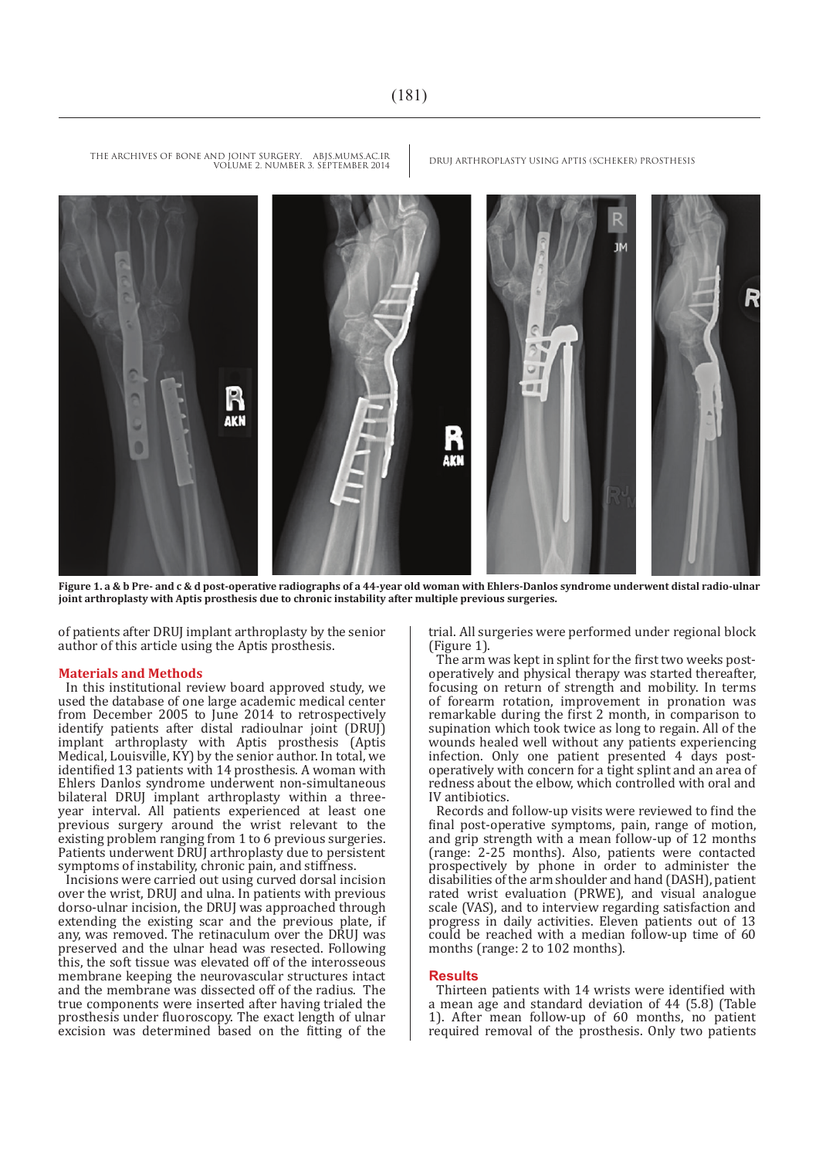

**Figure 1. a & b Pre- and c & d post-operative radiographs of a 44-year old woman with Ehlers-Danlos syndrome underwent distal radio-ulnar joint arthroplasty with Aptis prosthesis due to chronic instability after multiple previous surgeries.**

of patients after DRUJ implant arthroplasty by the senior author of this article using the Aptis prosthesis.

#### **Materials and Methods**

In this institutional review board approved study, we used the database of one large academic medical center from December 2005 to June 2014 to retrospectively identify patients after distal radioulnar joint (DRUJ) implant arthroplasty with Aptis prosthesis (Aptis Medical, Louisville, KY) by the senior author. In total, we identified 13 patients with 14 prosthesis. A woman with Ehlers Danlos syndrome underwent non-simultaneous bilateral DRUJ implant arthroplasty within a threeyear interval. All patients experienced at least one previous surgery around the wrist relevant to the existing problem ranging from 1 to 6 previous surgeries. Patients underwent DRUJ arthroplasty due to persistent symptoms of instability, chronic pain, and stiffness.

Incisions were carried out using curved dorsal incision over the wrist, DRUJ and ulna. In patients with previous dorso-ulnar incision, the DRUJ was approached through extending the existing scar and the previous plate, if any, was removed. The retinaculum over the DRUJ was preserved and the ulnar head was resected. Following this, the soft tissue was elevated off of the interosseous membrane keeping the neurovascular structures intact and the membrane was dissected off of the radius. The true components were inserted after having trialed the prosthesis under fluoroscopy. The exact length of ulnar excision was determined based on the fitting of the trial. All surgeries were performed under regional block (Figure 1).

The arm was kept in splint for the first two weeks postoperatively and physical therapy was started thereafter, focusing on return of strength and mobility. In terms of forearm rotation, improvement in pronation was remarkable during the first 2 month, in comparison to supination which took twice as long to regain. All of the wounds healed well without any patients experiencing infection. Only one patient presented 4 days postoperatively with concern for a tight splint and an area of redness about the elbow, which controlled with oral and IV antibiotics.

Records and follow-up visits were reviewed to find the final post-operative symptoms, pain, range of motion, and grip strength with a mean follow-up of 12 months (range: 2-25 months). Also, patients were contacted prospectively by phone in order to administer the disabilities of the arm shoulder and hand (DASH), patient rated wrist evaluation (PRWE), and visual analogue scale (VAS), and to interview regarding satisfaction and progress in daily activities. Eleven patients out of 13 could be reached with a median follow-up time of 60 months (range: 2 to 102 months).

#### **Results**

Thirteen patients with 14 wrists were identified with a mean age and standard deviation of 44 (5.8) (Table 1). After mean follow-up of 60 months, no patient required removal of the prosthesis. Only two patients

THE ARCHIVES OF BONE AND JOINT SURGERY. ABJS.MUMS.AC.IR DRUJ ARTHROPLASTY USING APTIS (SCHEKER) PROSTHESIS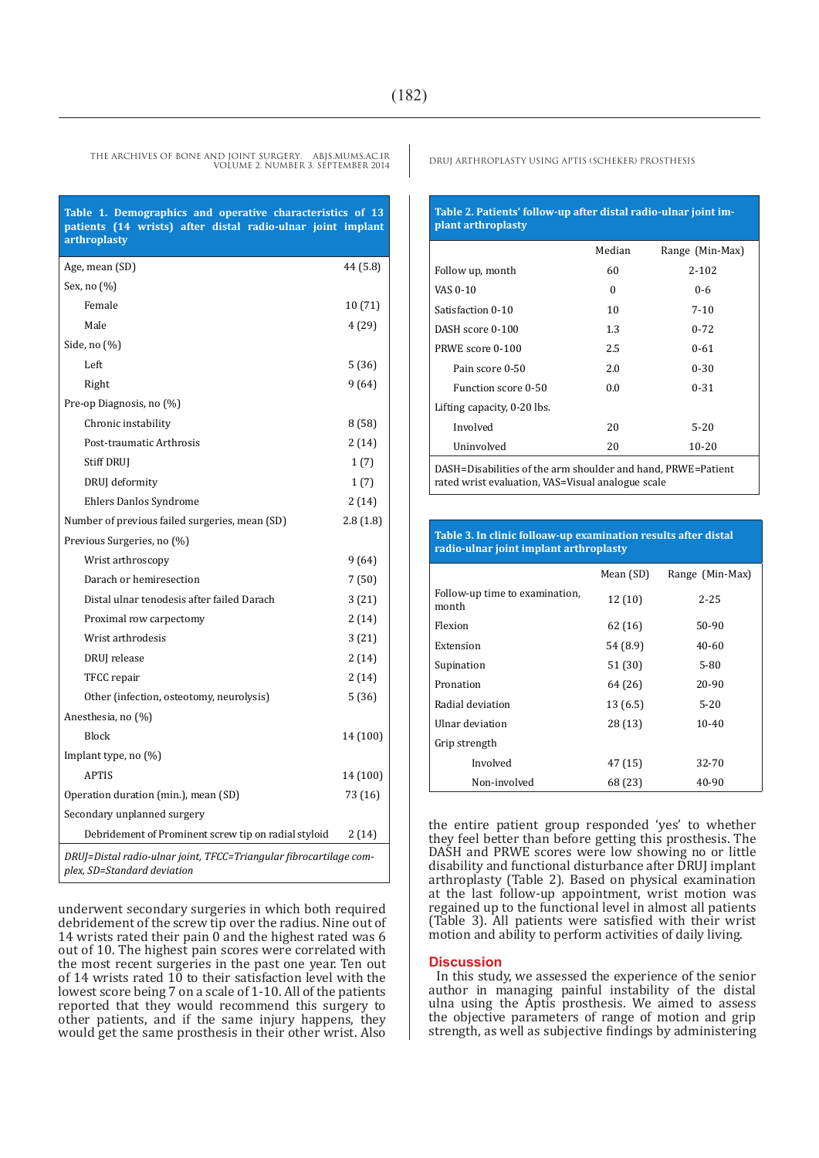THE ARCHIVES OF BONE AND JOINT SURGERY. ABJS.MUMS.AC.IR DRUJ ARTHROPLASTY USING APTIS (SCHEKER) PROSTHESIS VOLUME 2. NUMBER 3. SEPTEMBER 2014

**Table 1. Demographics and operative characteristics of 13 patients (14 wrists) after distal radio-ulnar joint implant arthroplasty**

| Age, mean (SD)                                                                                    | 44 (5.8) |  |
|---------------------------------------------------------------------------------------------------|----------|--|
| Sex, no (%)                                                                                       |          |  |
| Female                                                                                            | 10(71)   |  |
| Male                                                                                              | 4 (29)   |  |
| Side, no (%)                                                                                      |          |  |
| Left                                                                                              | 5(36)    |  |
| Right                                                                                             | 9(64)    |  |
| Pre-op Diagnosis, no (%)                                                                          |          |  |
| Chronic instability                                                                               | 8(58)    |  |
| Post-traumatic Arthrosis                                                                          | 2(14)    |  |
| <b>Stiff DRUJ</b>                                                                                 | 1(7)     |  |
| DRUJ deformity                                                                                    | 1(7)     |  |
| Ehlers Danlos Syndrome                                                                            | 2(14)    |  |
| Number of previous failed surgeries, mean (SD)                                                    | 2.8(1.8) |  |
| Previous Surgeries, no (%)                                                                        |          |  |
| Wrist arthroscopy                                                                                 | 9 (64)   |  |
| Darach or hemiresection                                                                           | 7(50)    |  |
| Distal ulnar tenodesis after failed Darach                                                        | 3(21)    |  |
| Proximal row carpectomy                                                                           | 2(14)    |  |
| Wrist arthrodesis                                                                                 | 3(21)    |  |
| DRUJ release                                                                                      | 2(14)    |  |
| TFCC repair                                                                                       | 2(14)    |  |
| Other (infection, osteotomy, neurolysis)                                                          | 5(36)    |  |
| Anesthesia, no (%)                                                                                |          |  |
| Block                                                                                             | 14 (100) |  |
| Implant type, no (%)                                                                              |          |  |
| <b>APTIS</b>                                                                                      | 14 (100) |  |
| Operation duration (min.), mean (SD)                                                              | 73 (16)  |  |
| Secondary unplanned surgery                                                                       |          |  |
| Debridement of Prominent screw tip on radial styloid                                              | 2(14)    |  |
| DRUJ=Distal radio-ulnar joint, TFCC=Triangular fibrocartilage com-<br>plex, SD=Standard deviation |          |  |

underwent secondary surgeries in which both required debridement of the screw tip over the radius. Nine out of 14 wrists rated their pain 0 and the highest rated was 6 out of 10. The highest pain scores were correlated with the most recent surgeries in the past one year. Ten out of 14 wrists rated 10 to their satisfaction level with the lowest score being 7 on a scale of 1-10. All of the patients reported that they would recommend this surgery to other patients, and if the same injury happens, they would get the same prosthesis in their other wrist. Also

#### **Table 2. Patients' follow-up after distal radio-ulnar joint implant arthroplasty**

|                                                           | Median   | Range (Min-Max) |  |
|-----------------------------------------------------------|----------|-----------------|--|
| Follow up, month                                          | 60       | $2 - 102$       |  |
| VAS 0-10                                                  | $\Omega$ | $0 - 6$         |  |
| Satisfaction 0-10                                         | 10       | $7 - 10$        |  |
| DASH score 0-100                                          | 1.3      | $0 - 72$        |  |
| PRWE score 0-100                                          | 2.5      | $0 - 61$        |  |
| Pain score 0-50                                           | 2.0      | $0 - 30$        |  |
| Function score 0-50                                       | 0.0      | $0 - 31$        |  |
| Lifting capacity, 0-20 lbs.                               |          |                 |  |
| Involved                                                  | 20       | $5 - 20$        |  |
| Uninvolved                                                | 20       | $10 - 20$       |  |
| DACU Disabilitza afika awa shariday ay dhayd DDUE Dationt |          |                 |  |

DASH=Disabilities of the arm shoulder and hand, PRWE=Patient rated wrist evaluation, VAS=Visual analogue scale

#### **Table 3. In clinic folloaw-up examination results after distal radio-ulnar joint implant arthroplasty**

|                                         | Mean (SD) | Range (Min-Max) |
|-----------------------------------------|-----------|-----------------|
| Follow-up time to examination,<br>month | 12(10)    | $2 - 25$        |
| Flexion                                 | 62 (16)   | 50-90           |
| Extension                               | 54 (8.9)  | 40-60           |
| Supination                              | 51 (30)   | 5-80            |
| Pronation                               | 64 (26)   | 20-90           |
| Radial deviation                        | 13(6.5)   | $5 - 20$        |
| Ulnar deviation                         | 28 (13)   | $10-40$         |
| Grip strength                           |           |                 |
| Involved                                | 47 (15)   | 32-70           |
| Non-involved                            | 68 (23)   | 40-90           |

the entire patient group responded 'yes' to whether they feel better than before getting this prosthesis. The DASH and PRWE scores were low showing no or little disability and functional disturbance after DRUJ implant arthroplasty (Table 2). Based on physical examination at the last follow-up appointment, wrist motion was regained up to the functional level in almost all patients (Table 3). All patients were satisfied with their wrist motion and ability to perform activities of daily living.

#### **Discussion**

In this study, we assessed the experience of the senior author in managing painful instability of the distal ulna using the Aptis prosthesis. We aimed to assess the objective parameters of range of motion and grip strength, as well as subjective findings by administering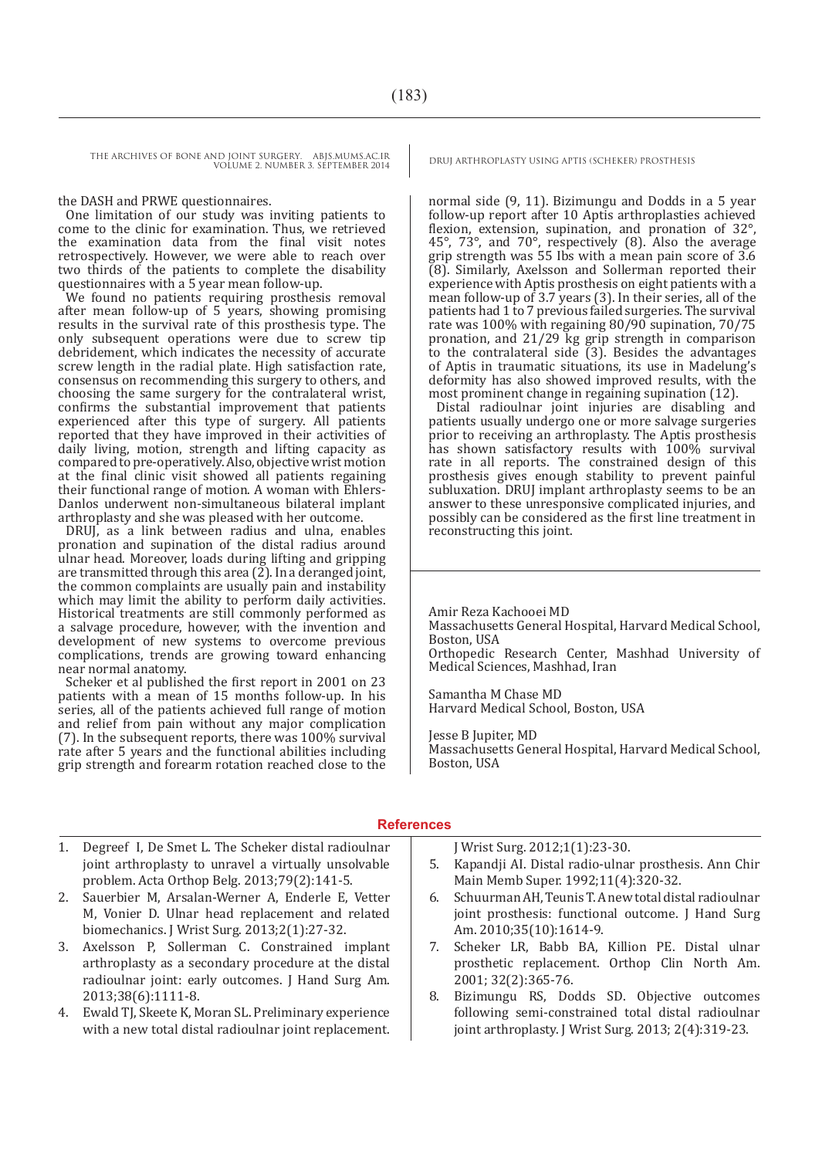THE ARCHIVES OF BONE AND JOINT SURGERY. ABJS.MUMS.AC.IR DRUJ ARTHROPLASTY USING APTIS (SCHEKER) PROSTHESIS VOLUME 2. NUMBER 3. SEPTEMBER 2014

#### the DASH and PRWE questionnaires.

One limitation of our study was inviting patients to come to the clinic for examination. Thus, we retrieved the examination data from the final visit notes retrospectively. However, we were able to reach over two thirds of the patients to complete the disability questionnaires with a 5 year mean follow-up.

We found no patients requiring prosthesis removal after mean follow-up of 5 years, showing promising results in the survival rate of this prosthesis type. The only subsequent operations were due to screw tip debridement, which indicates the necessity of accurate screw length in the radial plate. High satisfaction rate, consensus on recommending this surgery to others, and choosing the same surgery for the contralateral wrist, confirms the substantial improvement that patients experienced after this type of surgery. All patients reported that they have improved in their activities of daily living, motion, strength and lifting capacity as compared to pre-operatively. Also, objective wrist motion at the final clinic visit showed all patients regaining their functional range of motion. A woman with Ehlers-Danlos underwent non-simultaneous bilateral implant arthroplasty and she was pleased with her outcome.

DRUJ, as a link between radius and ulna, enables pronation and supination of the distal radius around ulnar head. Moreover, loads during lifting and gripping are transmitted through this area (2). In a deranged joint, the common complaints are usually pain and instability which may limit the ability to perform daily activities. Historical treatments are still commonly performed as a salvage procedure, however, with the invention and development of new systems to overcome previous complications, trends are growing toward enhancing near normal anatomy.

Scheker et al published the first report in 2001 on 23 patients with a mean of 15 months follow-up. In his series, all of the patients achieved full range of motion and relief from pain without any major complication (7). In the subsequent reports, there was 100% survival rate after 5 years and the functional abilities including grip strength and forearm rotation reached close to the

normal side (9, 11). Bizimungu and Dodds in a 5 year follow-up report after 10 Aptis arthroplasties achieved flexion, extension, supination, and pronation of 32°, 45°, 73°, and 70°, respectively (8). Also the average grip strength was 55 Ibs with a mean pain score of 3.6 (8). Similarly, Axelsson and Sollerman reported their experience with Aptis prosthesis on eight patients with a mean follow-up of 3.7 years (3). In their series, all of the patients had 1 to 7 previous failed surgeries. The survival rate was 100% with regaining 80/90 supination, 70/75 pronation, and 21/29 kg grip strength in comparison to the contralateral side (3). Besides the advantages of Aptis in traumatic situations, its use in Madelung's deformity has also showed improved results, with the most prominent change in regaining supination (12).

Distal radioulnar joint injuries are disabling and patients usually undergo one or more salvage surgeries prior to receiving an arthroplasty. The Aptis prosthesis has shown satisfactory results with 100% survival rate in all reports. The constrained design of this prosthesis gives enough stability to prevent painful subluxation. DRUJ implant arthroplasty seems to be an answer to these unresponsive complicated injuries, and possibly can be considered as the first line treatment in reconstructing this joint.

Amir Reza Kachooei MD Massachusetts General Hospital, Harvard Medical School, Boston, USA Orthopedic Research Center, Mashhad University of Medical Sciences, Mashhad, Iran

Samantha M Chase MD Harvard Medical School, Boston, USA

Jesse B Jupiter, MD Massachusetts General Hospital, Harvard Medical School, Boston, USA

#### **References**

- 1. Degreef I, De Smet L. The Scheker distal radioulnar joint arthroplasty to unravel a virtually unsolvable problem. Acta Orthop Belg. 2013;79(2):141-5.
- 2. Sauerbier M, Arsalan-Werner A, Enderle E, Vetter M, Vonier D. Ulnar head replacement and related biomechanics. J Wrist Surg. 2013;2(1):27-32.
- 3. Axelsson P, Sollerman C. Constrained implant arthroplasty as a secondary procedure at the distal radioulnar joint: early outcomes. J Hand Surg Am. 2013;38(6):1111-8.
- 4. Ewald TJ, Skeete K, Moran SL. Preliminary experience with a new total distal radioulnar joint replacement.
- J Wrist Surg. 2012;1(1):23-30.
- 5. Kapandji AI. Distal radio-ulnar prosthesis. Ann Chir Main Memb Super. 1992;11(4):320-32.
- 6. Schuurman AH, Teunis T. A new total distal radioulnar joint prosthesis: functional outcome. J Hand Surg Am. 2010;35(10):1614-9.
- 7. Scheker LR, Babb BA, Killion PE. Distal ulnar prosthetic replacement. Orthop Clin North Am. 2001; 32(2):365-76.
- 8. Bizimungu RS, Dodds SD. Objective outcomes following semi-constrained total distal radioulnar joint arthroplasty. J Wrist Surg. 2013; 2(4):319-23.